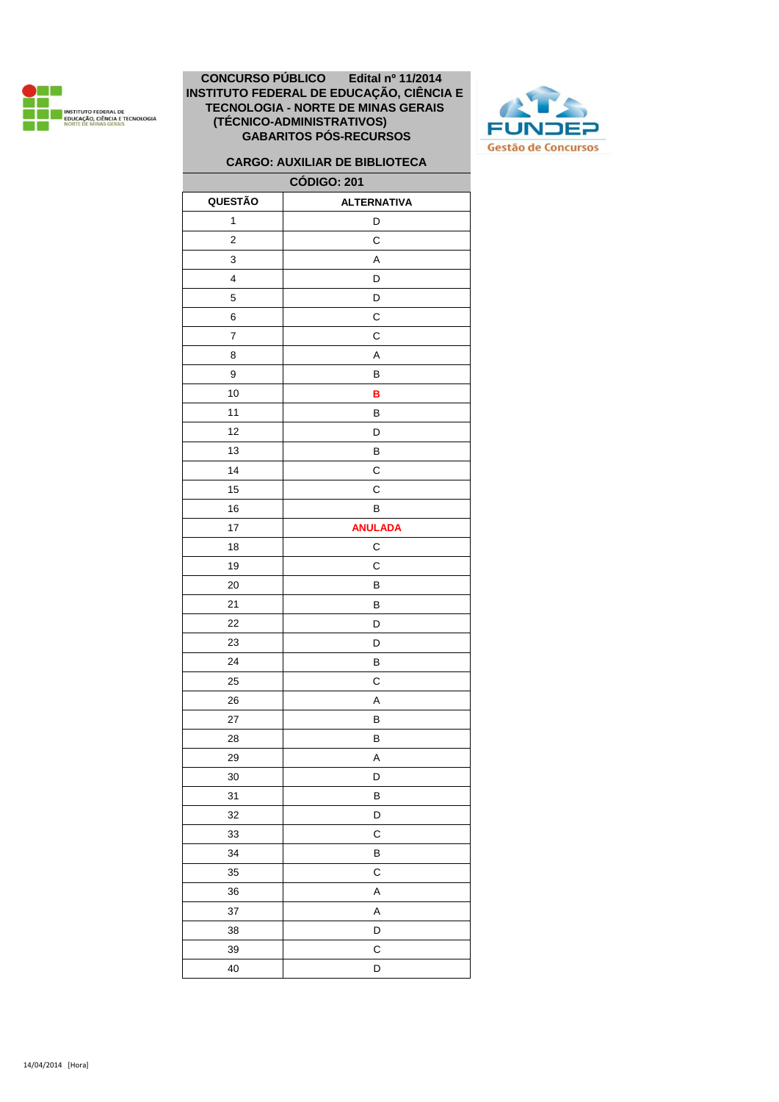



# **CARGO: AUXILIAR DE BIBLIOTECA**

| <b>CÓDIGO: 201</b>       |                    |  |
|--------------------------|--------------------|--|
| QUESTÃO                  | <b>ALTERNATIVA</b> |  |
| 1                        | D                  |  |
| $\mathbf 2$              | C                  |  |
| 3                        | A                  |  |
| 4                        | D                  |  |
| 5                        | D                  |  |
| 6                        | $\mathsf c$        |  |
| $\overline{\mathcal{I}}$ | $\mathsf C$        |  |
| 8                        | A                  |  |
| 9                        | В                  |  |
| 10                       | B                  |  |
| 11                       | $\sf B$            |  |
| 12                       | D                  |  |
| 13                       | B                  |  |
| 14                       | C                  |  |
| 15                       | C                  |  |
| 16                       | B                  |  |
| 17                       | <b>ANULADA</b>     |  |
| 18                       | С                  |  |
| 19                       | C                  |  |
| 20                       | B                  |  |
| 21                       | B                  |  |
| 22                       | D                  |  |
| 23                       | D                  |  |
| 24                       | B                  |  |
| 25                       | С                  |  |
| 26                       | A                  |  |
| 27                       | В                  |  |
| 28                       | B                  |  |
| 29                       | Α                  |  |
| $30\,$                   | D                  |  |
| 31                       | B                  |  |
| 32                       | D                  |  |
| 33                       | C                  |  |
| 34                       | B                  |  |
| 35                       | C                  |  |
| 36                       | A                  |  |
| 37                       | A                  |  |
| 38                       | D                  |  |
| 39                       | C                  |  |
| 40                       | D                  |  |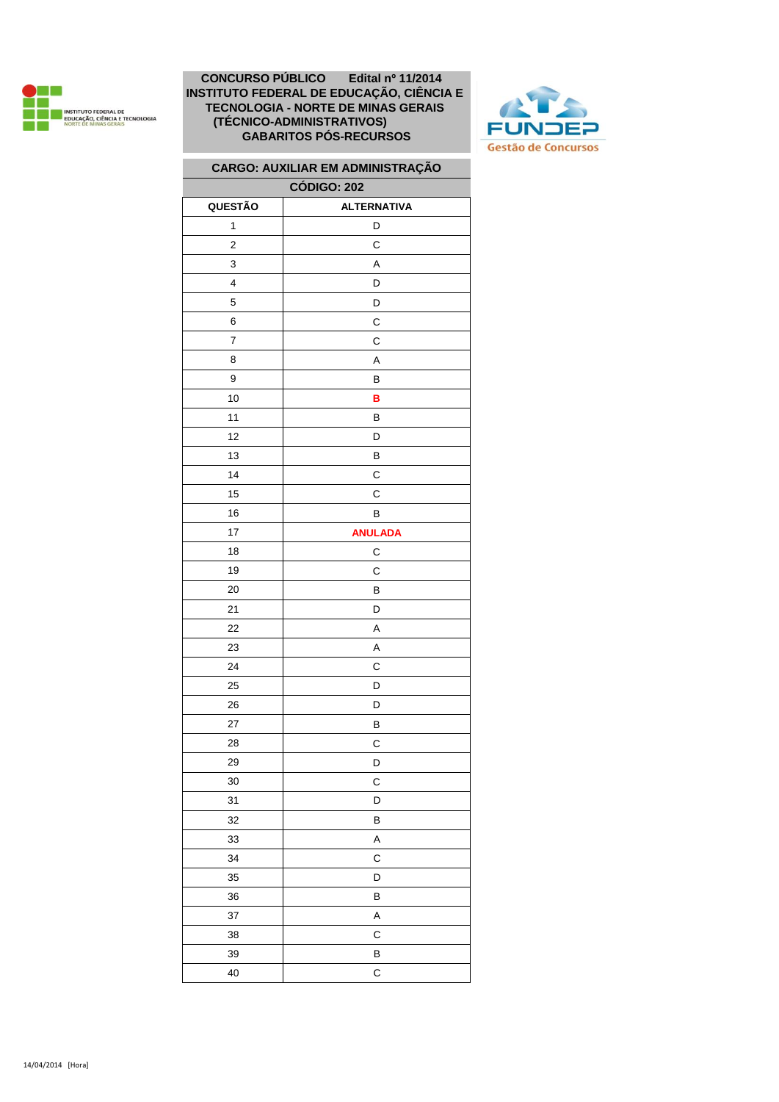



# **CARGO: AUXILIAR EM ADMINISTRAÇÃO**

| <b>CÓDIGO: 202</b> |                    |  |
|--------------------|--------------------|--|
| QUESTÃO            | <b>ALTERNATIVA</b> |  |
| 1                  | D                  |  |
| $\mathbf 2$        | C                  |  |
| 3                  | A                  |  |
| 4                  | D                  |  |
| 5                  | D                  |  |
| 6                  | С                  |  |
| 7                  | С                  |  |
| 8                  | A                  |  |
| 9                  | В                  |  |
| 10                 | в                  |  |
| 11                 | В                  |  |
| 12                 | D                  |  |
| 13                 | В                  |  |
| 14                 | С                  |  |
| 15                 | С                  |  |
| 16                 | B                  |  |
| 17                 | <b>ANULADA</b>     |  |
| 18                 | C                  |  |
| 19                 | C                  |  |
| 20                 | B                  |  |
| 21                 | D                  |  |
| 22                 | A                  |  |
| 23                 | Α                  |  |
| 24                 | С                  |  |
| 25                 | D                  |  |
| 26                 | D                  |  |
| 27                 | B                  |  |
| 28                 | C                  |  |
| 29                 | D                  |  |
| 30                 | C                  |  |
| 31                 | D                  |  |
| 32                 | B                  |  |
| 33                 | A                  |  |
| 34                 | C                  |  |
| 35                 | D                  |  |
| 36                 | B                  |  |
| 37                 | A                  |  |
| 38                 | C                  |  |
| 39                 | B                  |  |
| 40                 | $\mathsf{C}$       |  |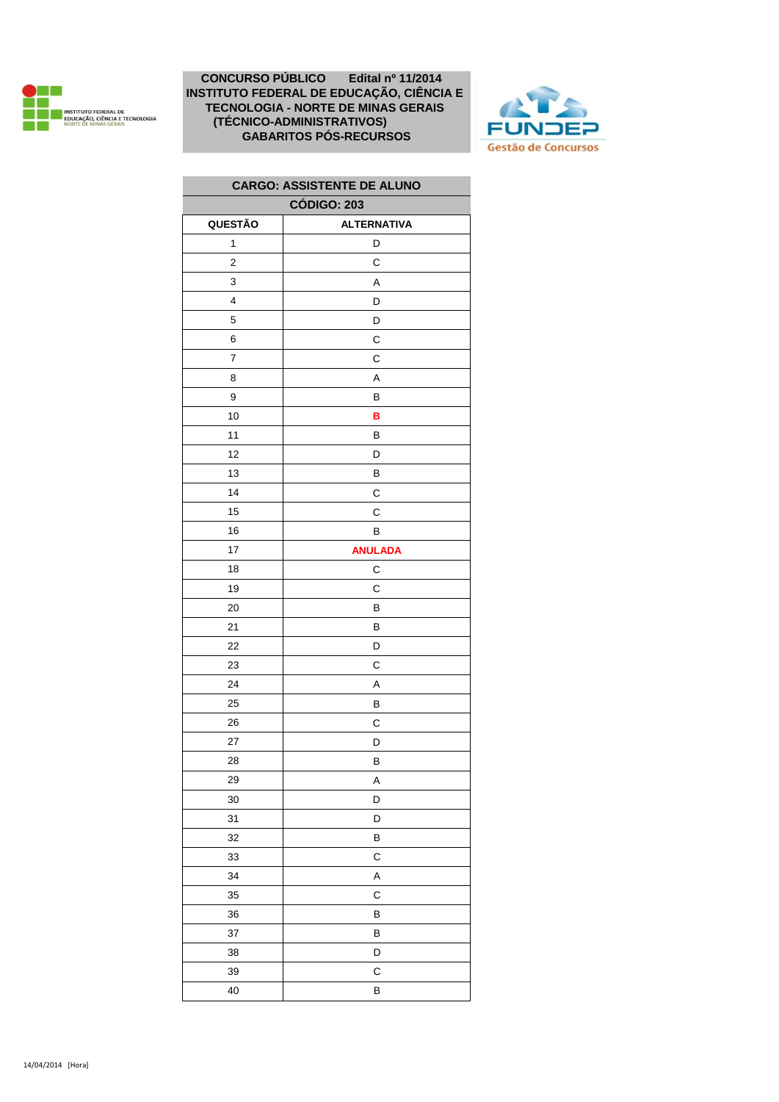



| <b>CARGO: ASSISTENTE DE ALUNO</b> |                    |  |
|-----------------------------------|--------------------|--|
| <b>CÓDIGO: 203</b>                |                    |  |
| QUESTÃO                           | <b>ALTERNATIVA</b> |  |
| 1                                 | D                  |  |
| $\overline{2}$                    | С                  |  |
| 3                                 | A                  |  |
| 4                                 | D                  |  |
| 5                                 | D                  |  |
| 6                                 | С                  |  |
| $\overline{7}$                    | C                  |  |
| 8                                 | A                  |  |
| 9                                 | В                  |  |
| 10                                | B                  |  |
| 11                                | В                  |  |
| 12                                | D                  |  |
| 13                                | В                  |  |
| 14                                | С                  |  |
| 15                                | C                  |  |
| 16                                | В                  |  |
| 17                                | <b>ANULADA</b>     |  |
| 18                                | С                  |  |
| 19                                | С                  |  |
| 20                                | В                  |  |
| 21                                | B                  |  |
| 22                                | D                  |  |
| 23                                | С                  |  |
| 24                                | Α                  |  |
| 25                                | В                  |  |
| 26                                | С                  |  |
| 27                                | D                  |  |
| 28                                | В                  |  |
| 29                                | A                  |  |
| 30                                | D                  |  |
| 31                                | D                  |  |
| 32                                | В                  |  |
| 33                                | C                  |  |
| 34                                | Α                  |  |
| 35                                | С                  |  |
| 36                                | В                  |  |
| 37                                | В                  |  |
| 38                                | D                  |  |
| 39                                | C                  |  |
| 40                                | В                  |  |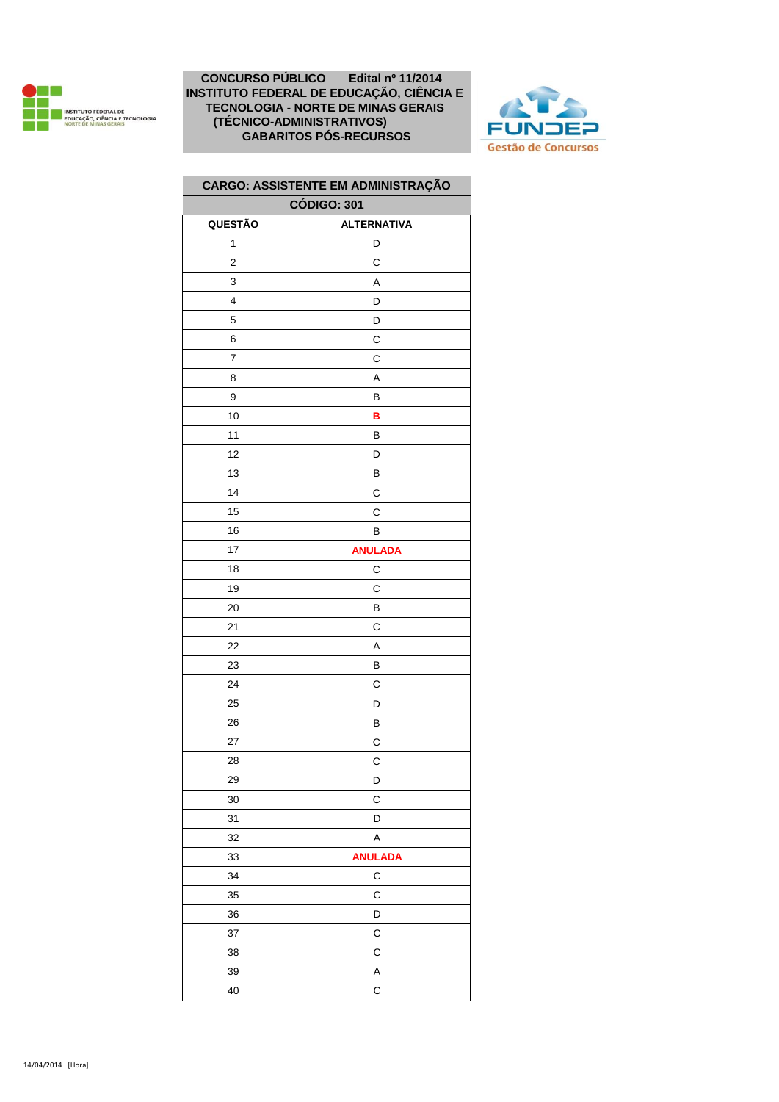



| CARGO: ASSISTENTE EM ADMINISTRAÇÃO |                    |  |
|------------------------------------|--------------------|--|
|                                    | <b>CÓDIGO: 301</b> |  |
| QUESTÃO                            | <b>ALTERNATIVA</b> |  |
| 1                                  | D                  |  |
| $\overline{c}$                     | C                  |  |
| 3                                  | A                  |  |
| 4                                  | D                  |  |
| 5                                  | D                  |  |
| 6                                  | C                  |  |
| $\overline{\mathcal{I}}$           | С                  |  |
| 8                                  | A                  |  |
| 9                                  | В                  |  |
| 10                                 | B                  |  |
| 11                                 | В                  |  |
| 12                                 | D                  |  |
| 13                                 | B                  |  |
| 14                                 | C                  |  |
| 15                                 | C                  |  |
| 16                                 | В                  |  |
| 17                                 | <b>ANULADA</b>     |  |
| 18                                 | C                  |  |
| 19                                 | C                  |  |
| 20                                 | В                  |  |
| 21                                 | С                  |  |
| 22                                 | A                  |  |
| 23                                 | B                  |  |
| 24                                 | C                  |  |
| 25                                 | D                  |  |
| 26                                 | В                  |  |
| 27                                 | C                  |  |
| 28                                 | С                  |  |
| 29                                 | D                  |  |
| 30                                 | С                  |  |
| 31                                 | D                  |  |
| 32                                 | A                  |  |
| 33                                 | <b>ANULADA</b>     |  |
| 34                                 | C                  |  |
| 35                                 | C                  |  |
| 36                                 | D                  |  |
| 37                                 | C                  |  |
| 38                                 | C                  |  |
| 39                                 | A                  |  |
| 40                                 | $\mathsf{C}$       |  |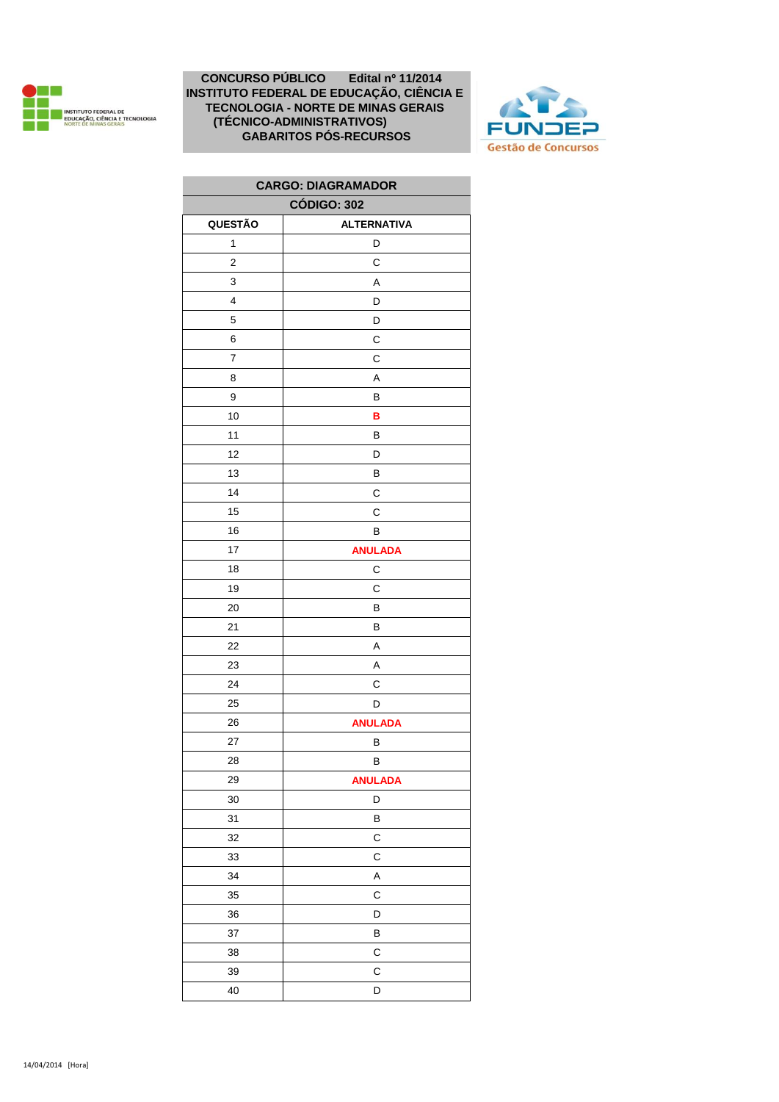



| <b>CARGO: DIAGRAMADOR</b> |                    |  |
|---------------------------|--------------------|--|
| <b>CÓDIGO: 302</b>        |                    |  |
| QUESTÃO                   | <b>ALTERNATIVA</b> |  |
| $\mathbf{1}$              | D                  |  |
| 2                         | C                  |  |
| 3                         | Α                  |  |
| 4                         | D                  |  |
| 5                         | D                  |  |
| 6                         | C                  |  |
| 7                         | С                  |  |
| 8                         | Α                  |  |
| 9                         | В                  |  |
| 10                        | B                  |  |
| 11                        | В                  |  |
| 12                        | D                  |  |
| 13                        | В                  |  |
| 14                        | С                  |  |
| 15                        | C                  |  |
| 16                        | B                  |  |
| 17                        | <b>ANULADA</b>     |  |
| 18                        | С                  |  |
| 19                        | C                  |  |
| 20                        | В                  |  |
| 21                        | В                  |  |
| 22                        | Α                  |  |
| 23                        | A                  |  |
| 24                        | C                  |  |
| 25                        | D                  |  |
| 26                        | <b>ANULADA</b>     |  |
| 27                        | В                  |  |
| 28                        | В                  |  |
| 29                        | <b>ANULADA</b>     |  |
| 30                        | D                  |  |
| 31                        | B                  |  |
| 32                        | C                  |  |
| 33                        | С                  |  |
| 34                        | Α                  |  |
| 35                        | С                  |  |
| 36                        | D                  |  |
| 37                        | В                  |  |
| 38                        | C                  |  |
| 39                        | C                  |  |
| 40                        | D                  |  |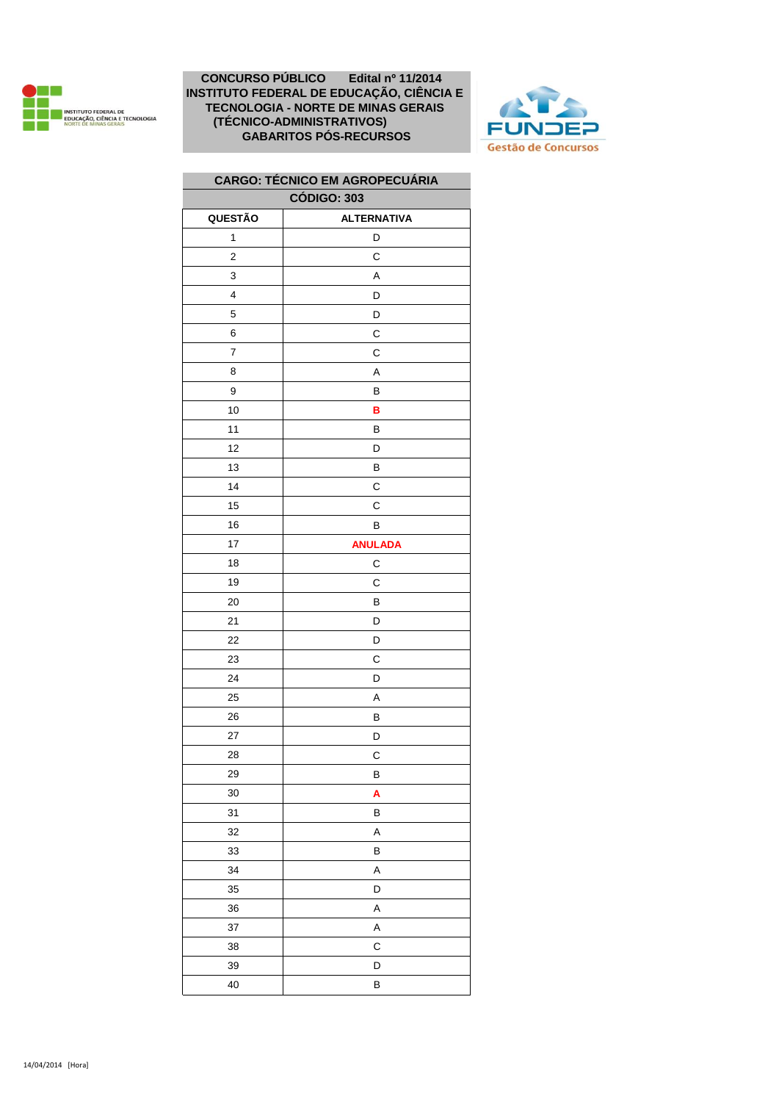



# **QUESTÃO ALTERNATIVA** D 2 C 3 A D D 6 | C C 8 A 9 B **B B**  D B 14 | C C 16 | B **ANULADA** 18 | C 19 | C B D D C D A B D C B **A** B A B A D A A C D B **CÓDIGO: 303 CARGO: TÉCNICO EM AGROPECUÁRIA**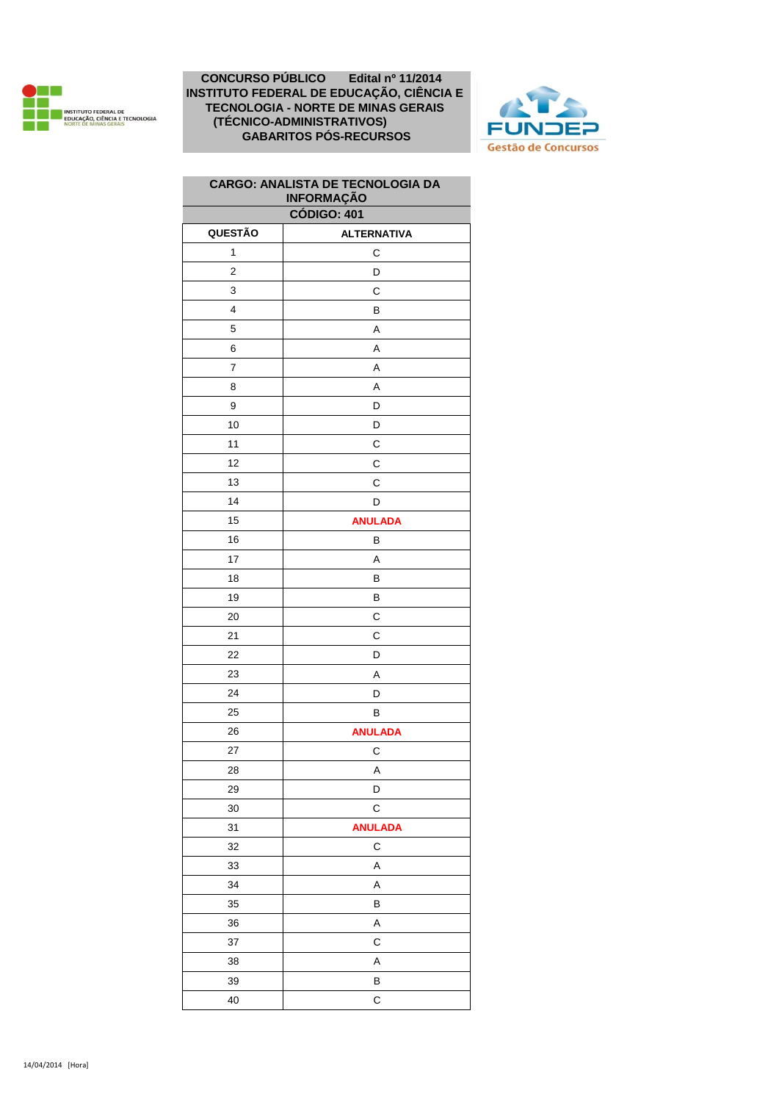



| <b>CARGO: ANALISTA DE TECNOLOGIA DA</b><br><b>INFORMAÇÃO</b> |                    |  |
|--------------------------------------------------------------|--------------------|--|
|                                                              | <b>CÓDIGO: 401</b> |  |
| QUESTÃO                                                      | <b>ALTERNATIVA</b> |  |
| 1                                                            | С                  |  |
| $\overline{c}$                                               | D                  |  |
| 3                                                            | С                  |  |
| 4                                                            | В                  |  |
| 5                                                            | A                  |  |
| 6                                                            | Α                  |  |
| $\overline{7}$                                               | А                  |  |
| 8                                                            | Α                  |  |
| 9                                                            | D                  |  |
| 10                                                           | D                  |  |
| 11                                                           | C                  |  |
| 12                                                           | С                  |  |
| 13                                                           | C                  |  |
| 14                                                           | D                  |  |
| 15                                                           | <b>ANULADA</b>     |  |
| 16                                                           | В                  |  |
| 17                                                           | Α                  |  |
| 18                                                           | В                  |  |
| 19                                                           | В                  |  |
| 20                                                           | С                  |  |
| 21                                                           | С                  |  |
| 22                                                           | D                  |  |
| 23                                                           | Α                  |  |
| 24                                                           | D                  |  |
| 25                                                           | В                  |  |
| 26                                                           | <b>ANULADA</b>     |  |
| 27                                                           | C                  |  |
| 28                                                           | A                  |  |
| 29                                                           | D                  |  |
| 30                                                           | C                  |  |
| 31                                                           | <b>ANULADA</b>     |  |
| 32                                                           | С                  |  |
| 33                                                           | А                  |  |
| 34                                                           | Α                  |  |
| 35                                                           | В                  |  |
| 36                                                           | A                  |  |
| 37                                                           | С                  |  |
| 38                                                           | Α                  |  |
| 39                                                           | B                  |  |
| 40                                                           | C                  |  |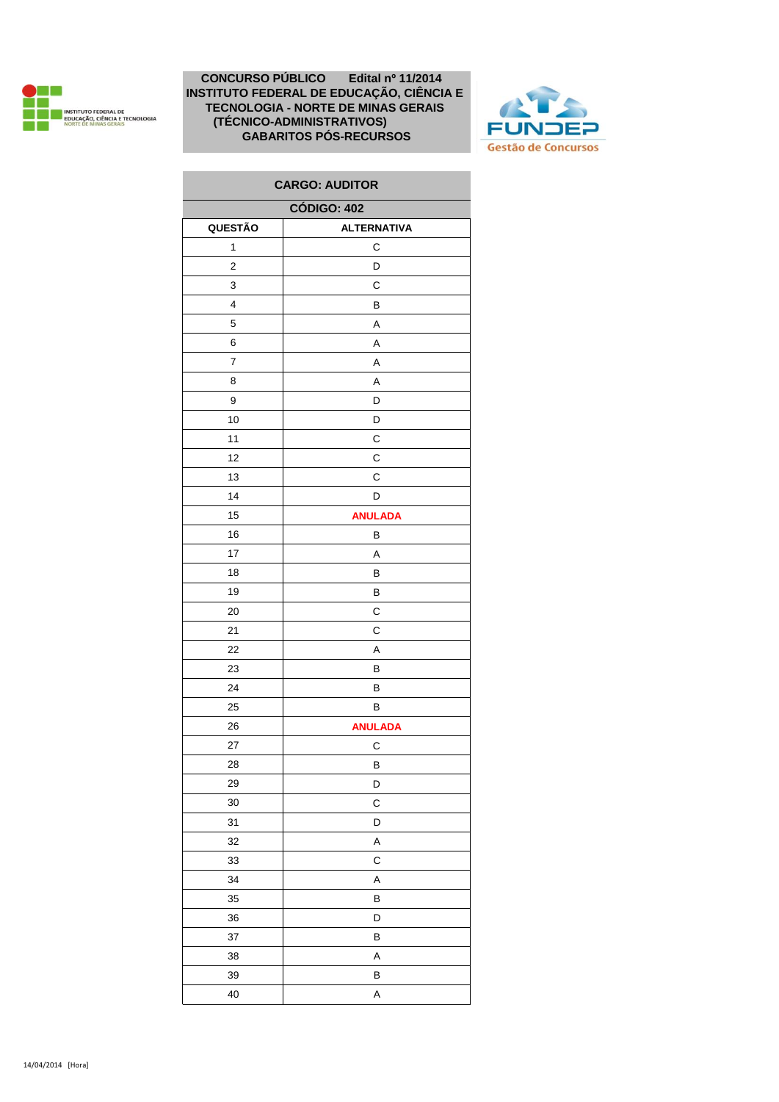



| <b>CARGO: AUDITOR</b>   |                    |  |
|-------------------------|--------------------|--|
| <b>CÓDIGO: 402</b>      |                    |  |
| QUESTÃO                 | <b>ALTERNATIVA</b> |  |
| 1                       | C                  |  |
| $\overline{\mathbf{c}}$ | D                  |  |
| 3                       | C                  |  |
| 4                       | B                  |  |
| 5                       | A                  |  |
| 6                       | Α                  |  |
| 7                       | A                  |  |
| 8                       | Α                  |  |
| 9                       | D                  |  |
| 10                      | D                  |  |
| 11                      | С                  |  |
| 12                      | C                  |  |
| 13                      | C                  |  |
| 14                      | D                  |  |
| 15                      | <b>ANULADA</b>     |  |
| 16                      | B                  |  |
| 17                      | Α                  |  |
| 18                      | B                  |  |
| 19                      | В                  |  |
| 20                      | С                  |  |
| 21                      | C                  |  |
| 22                      | A                  |  |
| 23                      | В                  |  |
| 24                      | В                  |  |
| 25                      | В                  |  |
| 26                      | <b>ANULADA</b>     |  |
| 27                      | C                  |  |
| 28                      | B                  |  |
| 29                      | D                  |  |
| 30                      | C                  |  |
| 31                      | D                  |  |
| 32                      | A                  |  |
| 33                      | С                  |  |
| 34                      | A                  |  |
| 35                      | B                  |  |
| 36                      | D                  |  |
| 37                      | В                  |  |
| 38                      | A                  |  |
| 39                      | B                  |  |
| 40                      | A                  |  |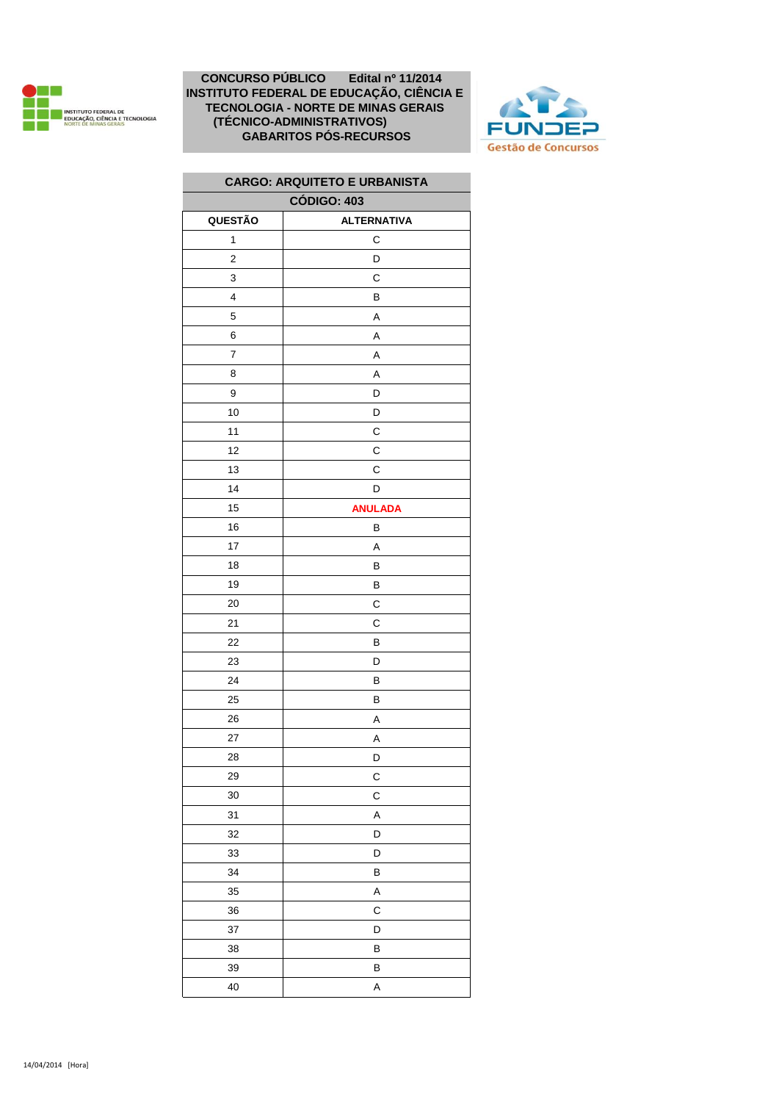



| <b>CARGO: ARQUITETO E URBANISTA</b> |                    |  |
|-------------------------------------|--------------------|--|
| <b>CÓDIGO: 403</b>                  |                    |  |
| QUESTÃO                             | <b>ALTERNATIVA</b> |  |
| 1                                   | С                  |  |
| $\overline{2}$                      | D                  |  |
| 3                                   | С                  |  |
| $\overline{\mathbf{4}}$             | В                  |  |
| 5                                   | Α                  |  |
| 6                                   | A                  |  |
| $\overline{\mathbf{7}}$             | Α                  |  |
| 8                                   | Α                  |  |
| 9                                   | D                  |  |
| 10                                  | D                  |  |
| 11                                  | С                  |  |
| 12                                  | C                  |  |
| 13                                  | С                  |  |
| 14                                  | D                  |  |
| 15                                  | <b>ANULADA</b>     |  |
| 16                                  | В                  |  |
| 17                                  | A                  |  |
| 18                                  | В                  |  |
| 19                                  | В                  |  |
| 20                                  | С                  |  |
| 21                                  | С                  |  |
| 22                                  | В                  |  |
| 23                                  | D                  |  |
| 24                                  | В                  |  |
| 25                                  | В                  |  |
| 26                                  | Α                  |  |
| 27                                  | Α                  |  |
| 28                                  | D                  |  |
| 29                                  | C                  |  |
| 30                                  | C                  |  |
| 31                                  | A                  |  |
| 32                                  | D                  |  |
| 33                                  | D                  |  |
| 34                                  | B                  |  |
| 35                                  | Α                  |  |
| 36                                  | C                  |  |
| 37                                  | D                  |  |
| 38                                  | B                  |  |
| 39                                  | B                  |  |
| 40                                  | A                  |  |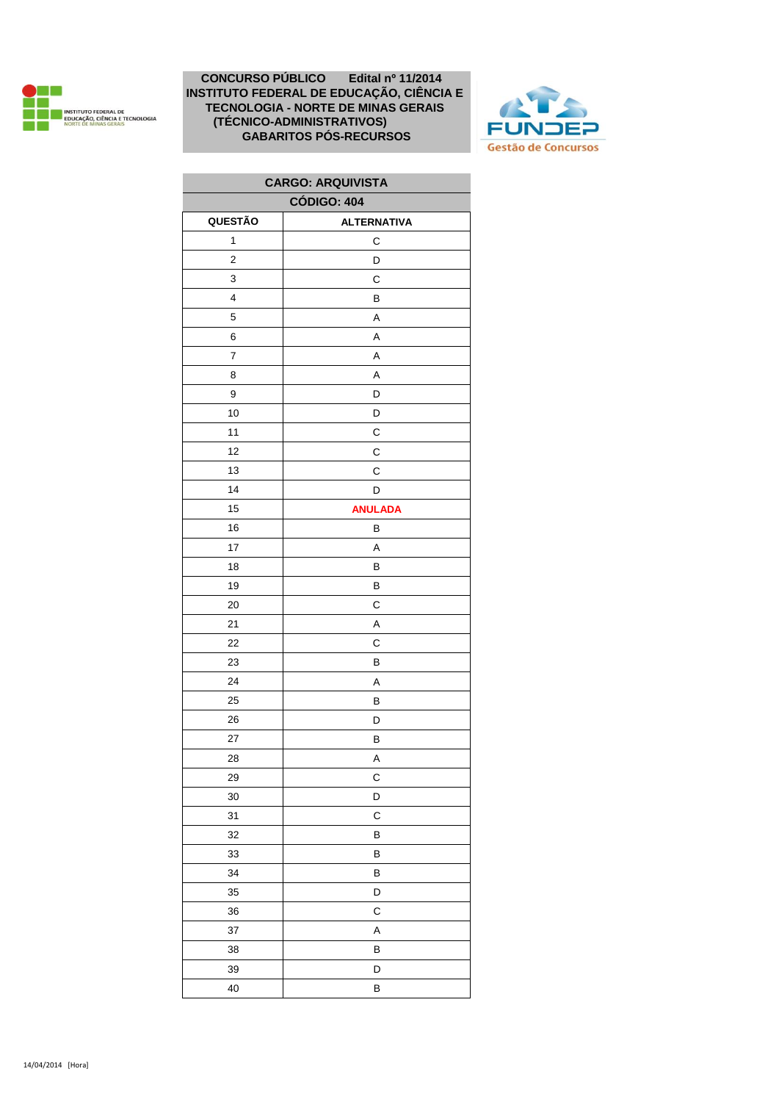



| <b>CARGO: ARQUIVISTA</b> |                    |  |
|--------------------------|--------------------|--|
| <b>CÓDIGO: 404</b>       |                    |  |
| QUESTÃO                  | <b>ALTERNATIVA</b> |  |
| $\mathbf{1}$             | С                  |  |
| 2                        | D                  |  |
| 3                        | С                  |  |
| 4                        | В                  |  |
| 5                        | A                  |  |
| 6                        | A                  |  |
| 7                        | A                  |  |
| 8                        | A                  |  |
| 9                        | D                  |  |
| 10                       | D                  |  |
| 11                       | C                  |  |
| 12                       | C                  |  |
| 13                       | С                  |  |
| 14                       | D                  |  |
| 15                       | <b>ANULADA</b>     |  |
| 16                       | B                  |  |
| 17                       | A                  |  |
| 18                       | В                  |  |
| 19                       | В                  |  |
| 20                       | C                  |  |
| 21                       | A                  |  |
| 22                       | C                  |  |
| 23                       | В                  |  |
| 24                       | A                  |  |
| 25                       | B                  |  |
| 26                       | D                  |  |
| 27                       | В                  |  |
| 28                       | Α                  |  |
| 29                       | C                  |  |
| 30                       | D                  |  |
| 31                       | C                  |  |
| 32                       | B                  |  |
| 33                       | В                  |  |
| 34                       | B                  |  |
| 35                       | D                  |  |
| 36                       | C                  |  |
| 37                       | Α                  |  |
| 38                       | B                  |  |
| 39                       | D                  |  |
| 40                       | В                  |  |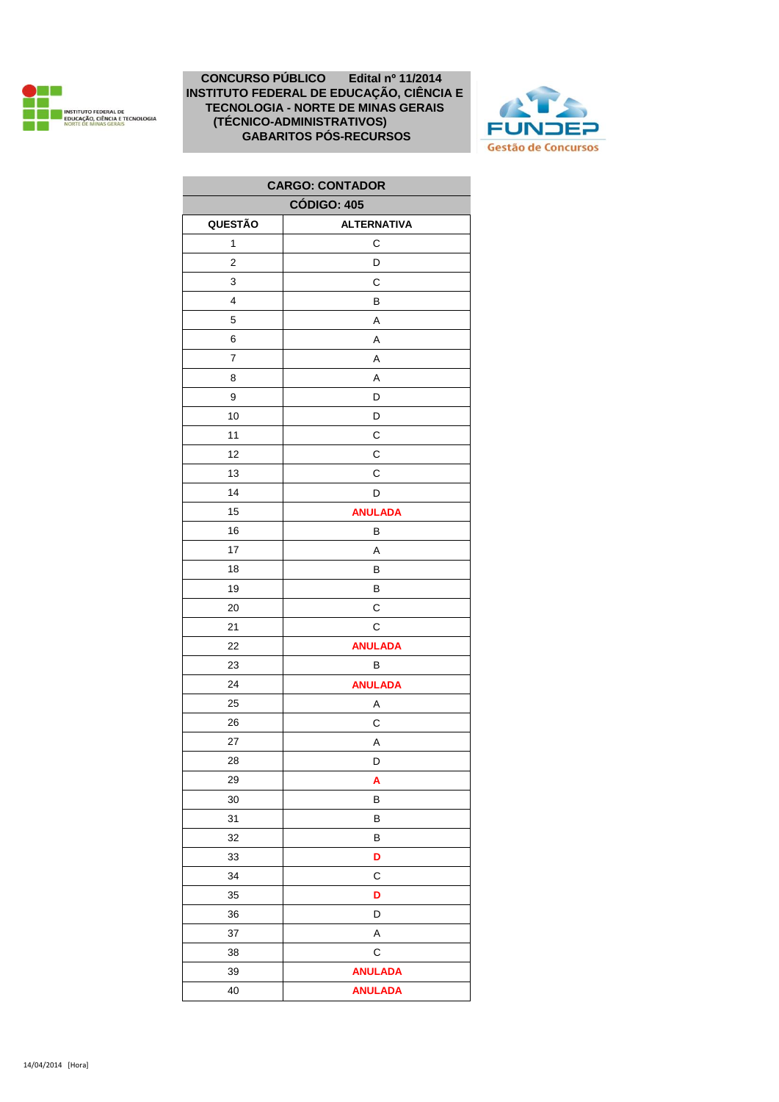



| <b>CARGO: CONTADOR</b> |                    |  |
|------------------------|--------------------|--|
| <b>CÓDIGO: 405</b>     |                    |  |
| QUESTÃO                | <b>ALTERNATIVA</b> |  |
| $\mathbf{1}$           | C                  |  |
| $\overline{2}$         | D                  |  |
| 3                      | C                  |  |
| 4                      | В                  |  |
| 5                      | A                  |  |
| 6                      | A                  |  |
| 7                      | Α                  |  |
| 8                      | Α                  |  |
| 9                      | D                  |  |
| 10                     | D                  |  |
| 11                     | С                  |  |
| 12                     | C                  |  |
| 13                     | С                  |  |
| 14                     | D                  |  |
| 15                     | <b>ANULADA</b>     |  |
| 16                     | В                  |  |
| 17                     | Α                  |  |
| 18                     | В                  |  |
| 19                     | В                  |  |
| 20                     | С                  |  |
| 21                     | $\mathsf{C}$       |  |
| 22                     | <b>ANULADA</b>     |  |
| 23                     | B                  |  |
| 24                     | <b>ANULADA</b>     |  |
| 25                     | Α                  |  |
| 26                     | С                  |  |
| 27                     | Α                  |  |
| 28                     | D                  |  |
| 29                     | A                  |  |
| 30                     | В                  |  |
| 31                     | В                  |  |
| 32                     | B                  |  |
| 33                     | D                  |  |
| 34                     | С                  |  |
| 35                     | D                  |  |
| 36                     | D                  |  |
| 37                     | A                  |  |
| 38                     | C                  |  |
| 39                     | <b>ANULADA</b>     |  |
| 40                     | <b>ANULADA</b>     |  |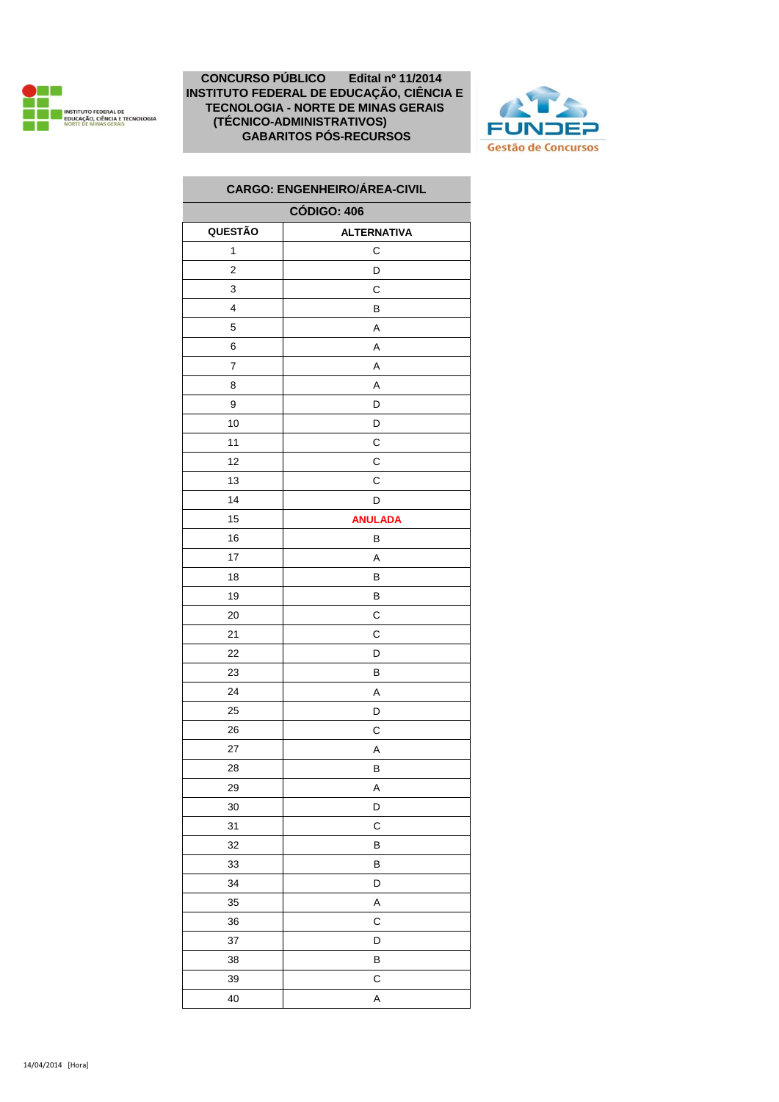



|         | <b>CARGO: ENGENHEIRO/ÁREA-CIVIL</b> |
|---------|-------------------------------------|
|         | <b>CÓDIGO: 406</b>                  |
| QUESTÃO | <b>ALTERNATIVA</b>                  |
| 1       | С                                   |
| 2       | D                                   |
| 3       | C                                   |
| 4       | В                                   |
| 5       | Α                                   |
| 6       | Α                                   |
| 7       | Α                                   |
| 8       | Α                                   |
| 9       | D                                   |
| 10      | D                                   |
| 11      | C                                   |
| 12      | С                                   |
| 13      | С                                   |
| 14      | D                                   |
| 15      | <b>ANULADA</b>                      |
| 16      | В                                   |
| 17      | Α                                   |
| 18      | в                                   |
| 19      | В                                   |
| 20      | С                                   |
| 21      | С                                   |
| 22      | D                                   |
| 23      | В                                   |
| 24      | A                                   |
| 25      | D                                   |
| 26      | С                                   |
| 27      | Α                                   |
| 28      | B                                   |
| 29      | A                                   |
| $30\,$  | D                                   |
| 31      | $\mathsf C$                         |
| 32      | В                                   |
| 33      | В                                   |
| 34      | D                                   |
| 35      | А                                   |
| 36      | C                                   |
| 37      | D                                   |
| 38      | В                                   |
| 39      | С                                   |
| 40      | A                                   |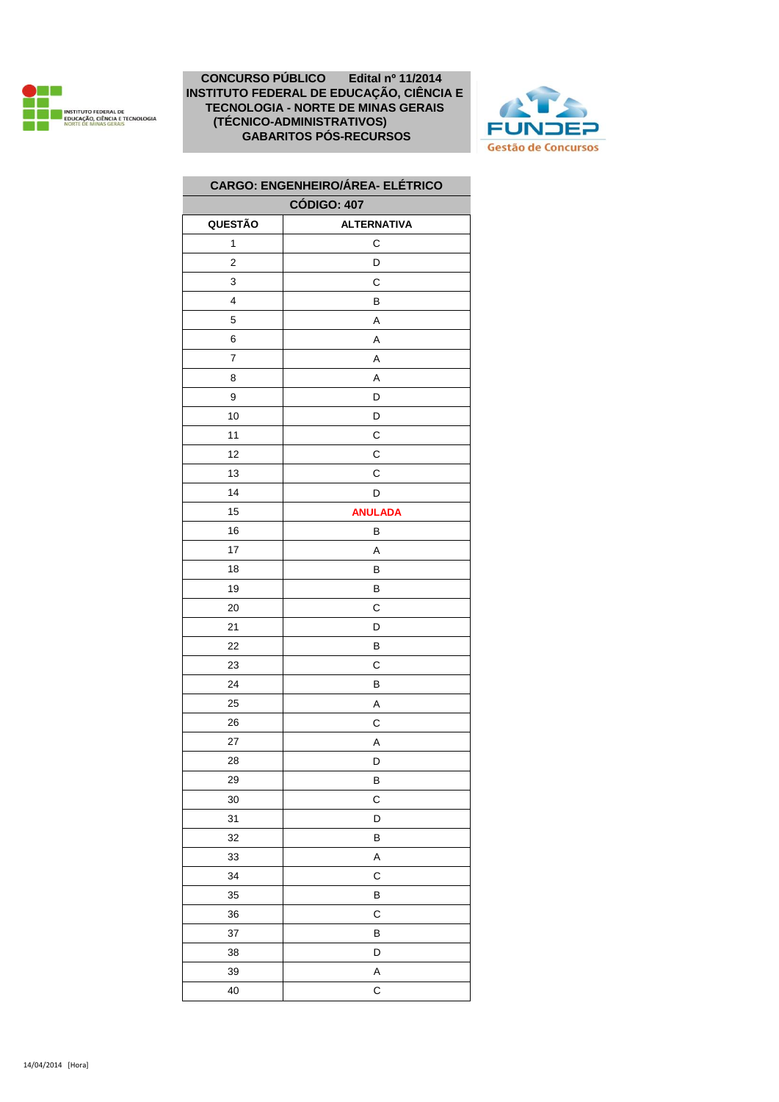



| <b>CARGO: ENGENHEIRO/ÁREA- ELÉTRICO</b> |                    |
|-----------------------------------------|--------------------|
| <b>CÓDIGO: 407</b>                      |                    |
| QUESTÃO                                 | <b>ALTERNATIVA</b> |
| 1                                       | С                  |
| $\mathbf 2$                             | D                  |
| 3                                       | С                  |
| 4                                       | В                  |
| 5                                       | A                  |
| 6                                       | A                  |
| $\boldsymbol{7}$                        | A                  |
| 8                                       | Α                  |
| 9                                       | D                  |
| 10                                      | D                  |
| 11                                      | C                  |
| 12                                      | С                  |
| 13                                      | C                  |
| 14                                      | D                  |
| 15                                      | <b>ANULADA</b>     |
| 16                                      | В                  |
| 17                                      | A                  |
| 18                                      | B                  |
| 19                                      | В                  |
| 20                                      | C                  |
| 21                                      | D                  |
| 22                                      | В                  |
| 23                                      | С                  |
| 24                                      | B                  |
| 25                                      | A                  |
| 26                                      | С                  |
| 27                                      | Α                  |
| 28                                      | D                  |
| 29                                      | В                  |
| 30                                      | C                  |
| 31                                      | D                  |
| 32                                      | В                  |
| 33                                      | A                  |
| 34                                      | С                  |
| 35                                      | B                  |
| 36                                      | C                  |
| 37                                      | B                  |
| 38                                      | D                  |
| 39                                      | A                  |
| 40                                      | $\mathsf{C}$       |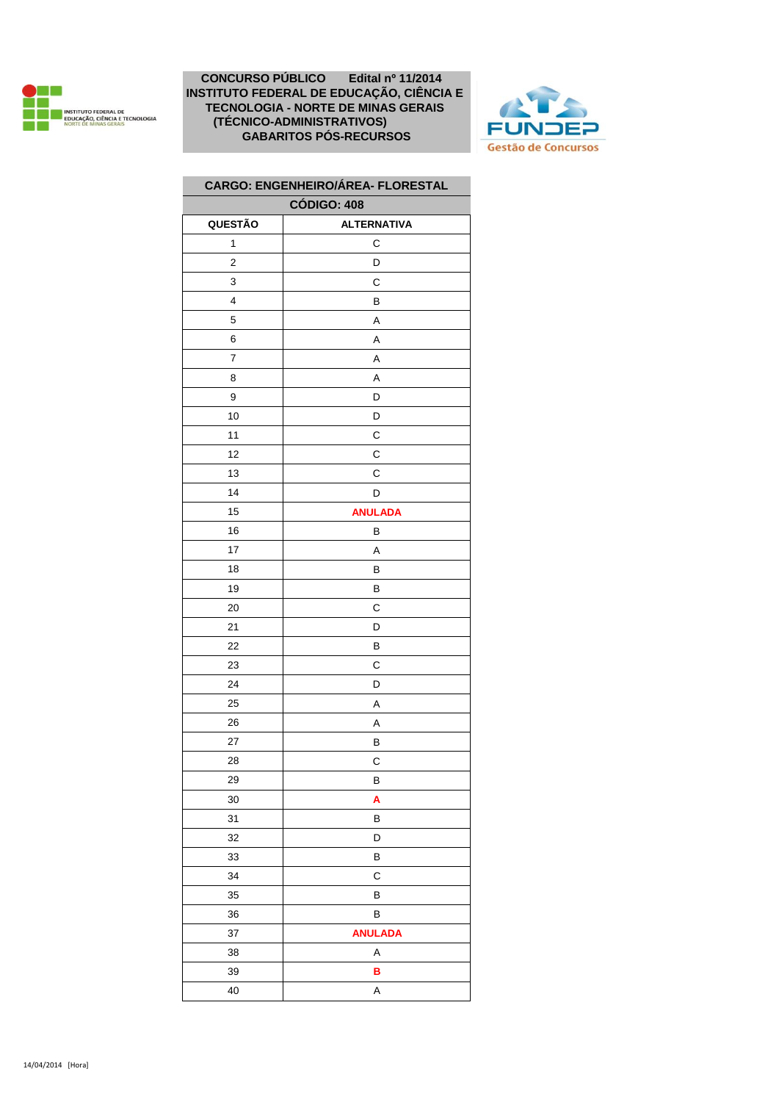



| <b>CARGO: ENGENHEIRO/ÁREA- FLORESTAL</b> |                    |
|------------------------------------------|--------------------|
| <b>CÓDIGO: 408</b>                       |                    |
| QUESTÃO                                  | <b>ALTERNATIVA</b> |
| 1                                        | С                  |
| 2                                        | D                  |
| 3                                        | C                  |
| 4                                        | В                  |
| 5                                        | Α                  |
| 6                                        | A                  |
| $\boldsymbol{7}$                         | Α                  |
| 8                                        | Α                  |
| 9                                        | D                  |
| 10                                       | D                  |
| 11                                       | С                  |
| 12                                       | С                  |
| 13                                       | С                  |
| 14                                       | D                  |
| 15                                       | <b>ANULADA</b>     |
| 16                                       | В                  |
| 17                                       | Α                  |
| 18                                       | B                  |
| 19                                       | В                  |
| 20                                       | С                  |
| 21                                       | D                  |
| 22                                       | В                  |
| 23                                       | C                  |
| 24                                       | D                  |
| 25                                       | Α                  |
| 26                                       | Α                  |
| 27                                       | B                  |
| 28                                       | C                  |
| 29                                       | В                  |
| 30                                       | A                  |
| 31                                       | B                  |
| 32                                       | D                  |
| 33                                       | B                  |
| 34                                       | C                  |
| 35                                       | В                  |
| 36                                       | В                  |
| 37                                       | <b>ANULADA</b>     |
| 38                                       | Α                  |
| 39                                       | B                  |
| 40                                       | A                  |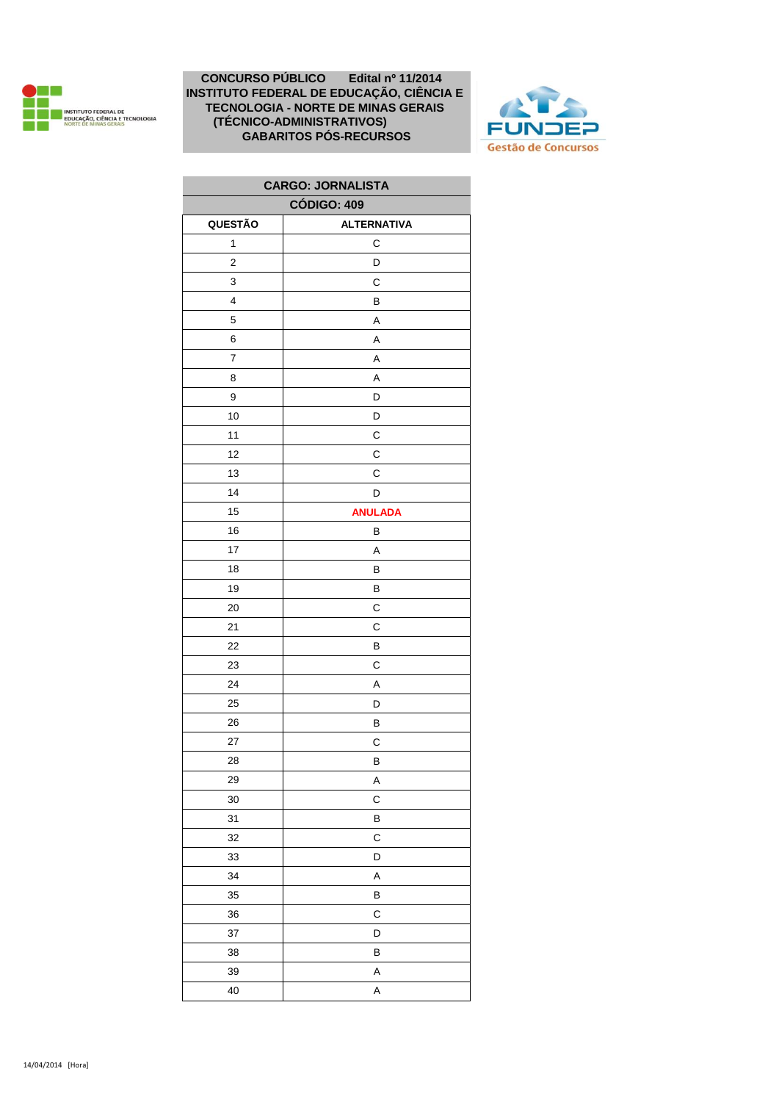



| <b>CARGO: JORNALISTA</b> |                    |
|--------------------------|--------------------|
| <b>CÓDIGO: 409</b>       |                    |
| QUESTÃO                  | <b>ALTERNATIVA</b> |
| $\mathbf{1}$             | C                  |
| 2                        | D                  |
| 3                        | C                  |
| 4                        | В                  |
| 5                        | A                  |
| 6                        | Α                  |
| 7                        | A                  |
| 8                        | A                  |
| 9                        | D                  |
| 10                       | D                  |
| 11                       | C                  |
| 12                       | C                  |
| 13                       | C                  |
| 14                       | D                  |
| 15                       | <b>ANULADA</b>     |
| 16                       | B                  |
| 17                       | Α                  |
| 18                       | В                  |
| 19                       | B                  |
| 20                       | С                  |
| 21                       | C                  |
| 22                       | B                  |
| 23                       | C                  |
| 24                       | A                  |
| 25                       | D                  |
| 26                       | B                  |
| 27                       | С                  |
| 28                       | B                  |
| 29                       | A                  |
| 30                       | C                  |
| 31                       | B                  |
| 32                       | C                  |
| 33                       | D                  |
| 34                       | A                  |
| 35                       | B                  |
| 36                       | C                  |
| 37                       | D                  |
| 38                       | B                  |
| 39                       | A                  |
| 40                       | Α                  |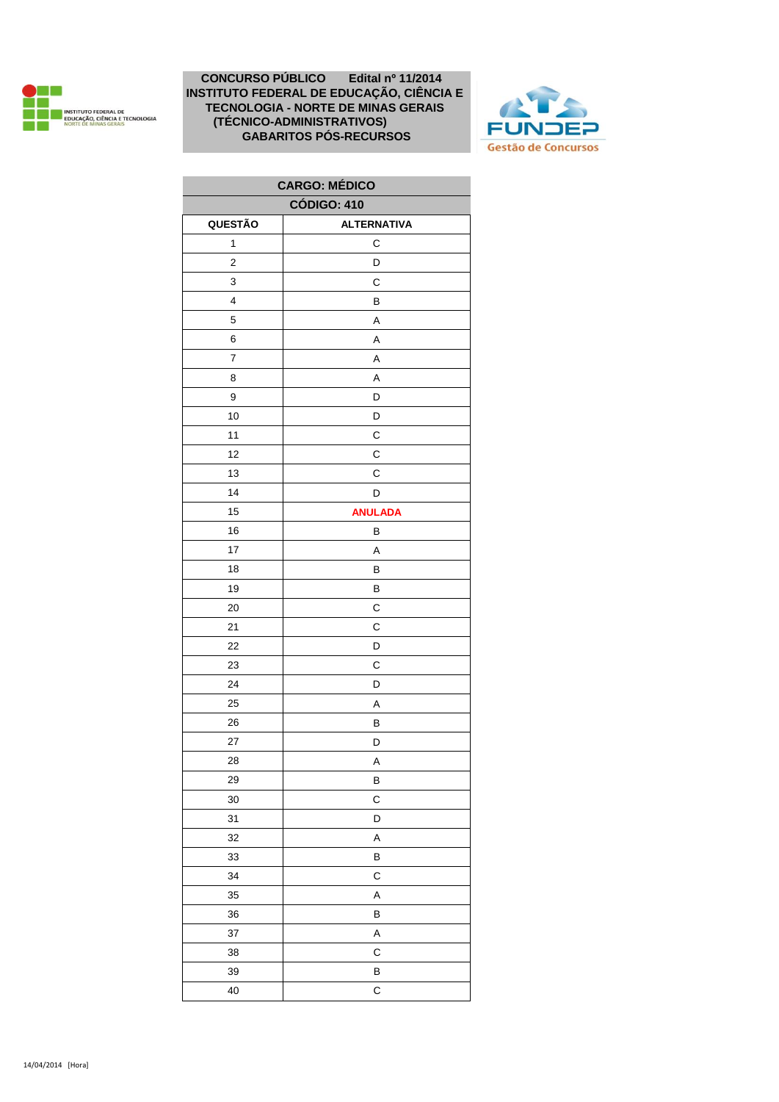



| <b>CARGO: MEDICO</b> |                    |
|----------------------|--------------------|
| <b>CÓDIGO: 410</b>   |                    |
| QUESTÃO              | <b>ALTERNATIVA</b> |
| $\mathbf{1}$         | С                  |
| 2                    | D                  |
| 3                    | C                  |
| 4                    | В                  |
| 5                    | A                  |
| 6                    | A                  |
| 7                    | A                  |
| 8                    | A                  |
| 9                    | D                  |
| 10                   | D                  |
| 11                   | C                  |
| 12                   | C                  |
| 13                   | C                  |
| 14                   | D                  |
| 15                   | <b>ANULADA</b>     |
| 16                   | B                  |
| 17                   | A                  |
| 18                   | В                  |
| 19                   | B                  |
| 20                   | С                  |
| 21                   | C                  |
| 22                   | D                  |
| 23                   | C                  |
| 24                   | D                  |
| 25                   | A                  |
| 26                   | В                  |
| 27                   | D                  |
| 28                   | A                  |
| 29                   | B                  |
| 30                   | C                  |
| 31                   | D                  |
| 32                   | A                  |
| 33                   | В                  |
| 34                   | C                  |
| 35                   | A                  |
| 36                   | B                  |
| 37                   | A                  |
| 38                   | C                  |
| 39                   | В                  |
| 40                   | C                  |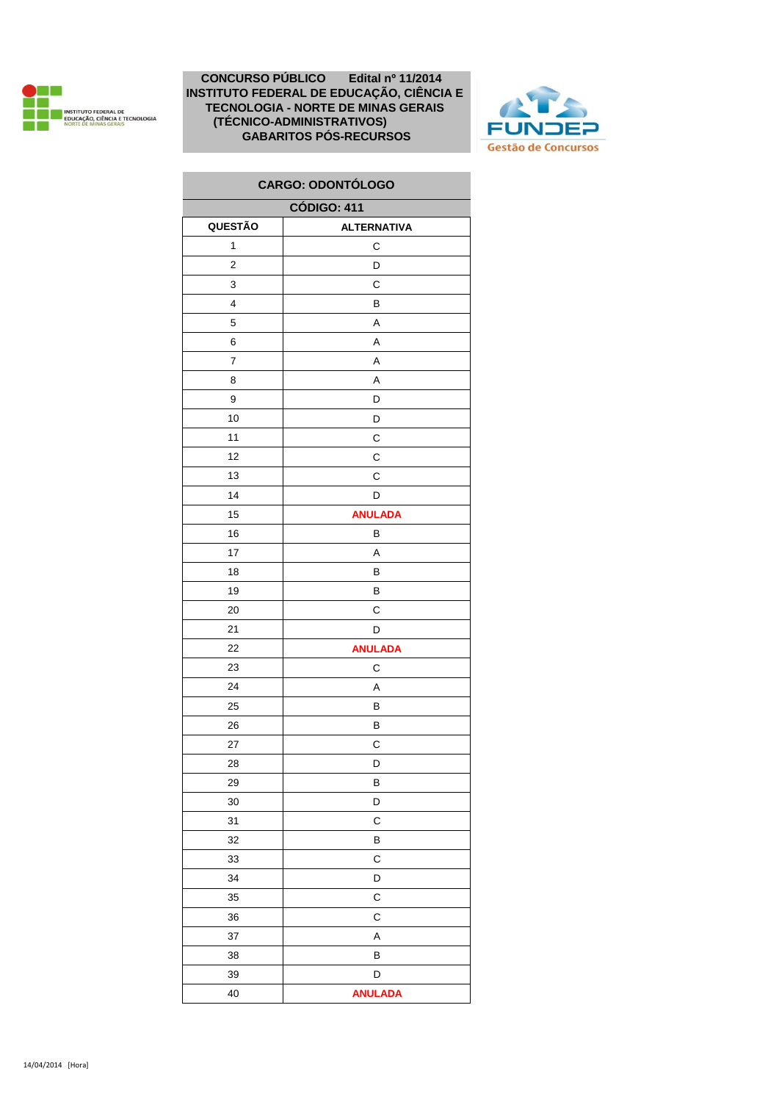



| <b>CARGO: ODONTÓLOGO</b> |                    |
|--------------------------|--------------------|
|                          | <b>CÓDIGO: 411</b> |
| QUESTÃO                  | <b>ALTERNATIVA</b> |
| 1                        | С                  |
| $\overline{\mathbf{c}}$  | D                  |
| 3                        | С                  |
| $\overline{\mathbf{4}}$  | В                  |
| 5                        | Α                  |
| 6                        | Α                  |
| $\overline{7}$           | Α                  |
| 8                        | Α                  |
| 9                        | D                  |
| 10                       | D                  |
| 11                       | С                  |
| 12                       | С                  |
| 13                       | С                  |
| 14                       | D                  |
| 15                       | <b>ANULADA</b>     |
| 16                       | В                  |
| 17                       | Α                  |
| 18                       | в                  |
| 19                       | В                  |
| 20                       | С                  |
| 21                       | D                  |
| 22                       | <b>ANULADA</b>     |
| 23                       | С                  |
| 24                       | Α                  |
| 25                       | В                  |
| 26                       | В                  |
| 27                       | С                  |
| 28                       | D                  |
| 29                       | В                  |
| 30                       | D                  |
| 31                       | C                  |
| 32                       | В                  |
| 33                       | C                  |
| 34                       | D                  |
| 35                       | C                  |
| 36                       | С                  |
| 37                       | Α                  |
| 38                       | В                  |
| 39                       | D                  |
| 40                       | <b>ANULADA</b>     |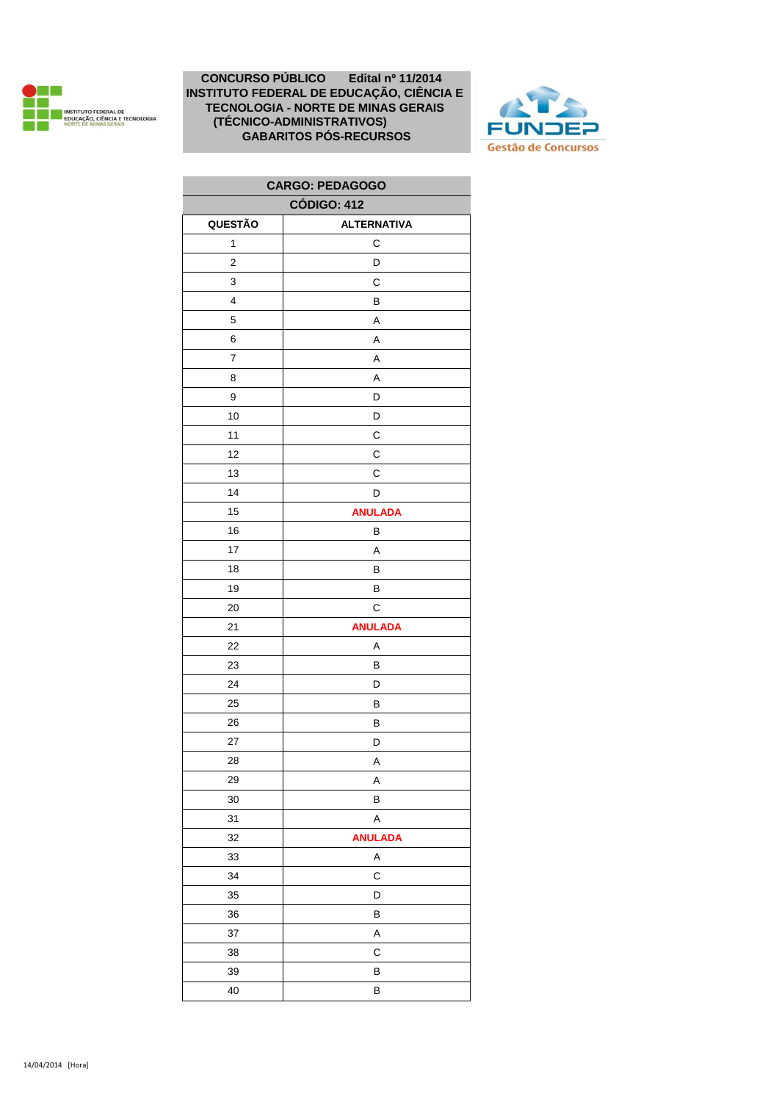



| <b>CARGO: PEDAGOGO</b>  |                    |
|-------------------------|--------------------|
| <b>CÓDIGO: 412</b>      |                    |
| QUESTÃO                 | <b>ALTERNATIVA</b> |
| $\mathbf{1}$            | C                  |
| $\overline{\mathbf{c}}$ | D                  |
| 3                       | С                  |
| 4                       | В                  |
| 5                       | A                  |
| 6                       | A                  |
| 7                       | Α                  |
| 8                       | Α                  |
| 9                       | D                  |
| 10                      | D                  |
| 11                      | С                  |
| 12                      | C                  |
| 13                      | C                  |
| 14                      | D                  |
| 15                      | <b>ANULADA</b>     |
| 16                      | В                  |
| 17                      | Α                  |
| 18                      | В                  |
| 19                      | В                  |
| 20                      | C                  |
| 21                      | <b>ANULADA</b>     |
| 22                      | A                  |
| 23                      | В                  |
| 24                      | D                  |
| 25                      | В                  |
| 26                      | B                  |
| 27                      | D                  |
| 28                      | A                  |
| 29                      | A                  |
| 30                      | В                  |
| 31                      | A                  |
| 32                      | <b>ANULADA</b>     |
| 33                      | Α                  |
| 34                      | С                  |
| 35                      | D                  |
| 36                      | B                  |
| 37                      | A                  |
| 38                      | C                  |
| 39                      | B                  |
| 40                      | В                  |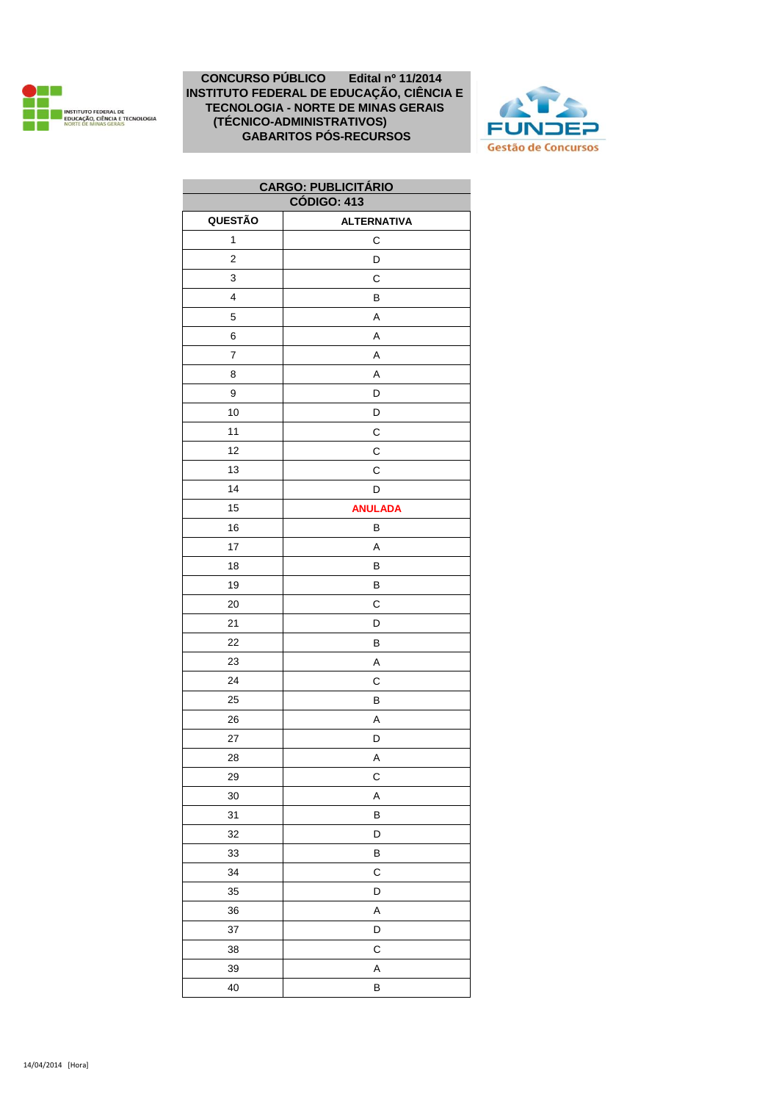



| <b>CARGO: PUBLICITARIO</b> |                    |
|----------------------------|--------------------|
| <b>CÓDIGO: 413</b>         |                    |
| QUESTÃO                    | <b>ALTERNATIVA</b> |
| 1                          | С                  |
| 2                          | D                  |
| 3                          | С                  |
| 4                          | B                  |
| 5                          | A                  |
| 6                          | A                  |
| $\overline{7}$             | A                  |
| 8                          | Α                  |
| 9                          | D                  |
| 10                         | D                  |
| 11                         | C                  |
| 12                         | C                  |
| 13                         | C                  |
| 14                         | D                  |
| 15                         | <b>ANULADA</b>     |
| 16                         | B                  |
| 17                         | Α                  |
| 18                         | B                  |
| 19                         | В                  |
| 20                         | C                  |
| 21                         | D                  |
| 22                         | B                  |
| 23                         | Α                  |
| 24                         | С                  |
| 25                         | B                  |
| 26                         | A                  |
| 27                         | D                  |
| 28                         | A                  |
| 29                         | C                  |
| 30                         | A                  |
| 31                         | B                  |
| 32                         | D                  |
| 33                         | B                  |
| 34                         | C                  |
| 35                         | D                  |
| 36                         | A                  |
| 37                         | D                  |
| 38                         | C                  |
| 39                         | A                  |
| 40                         | B                  |
|                            |                    |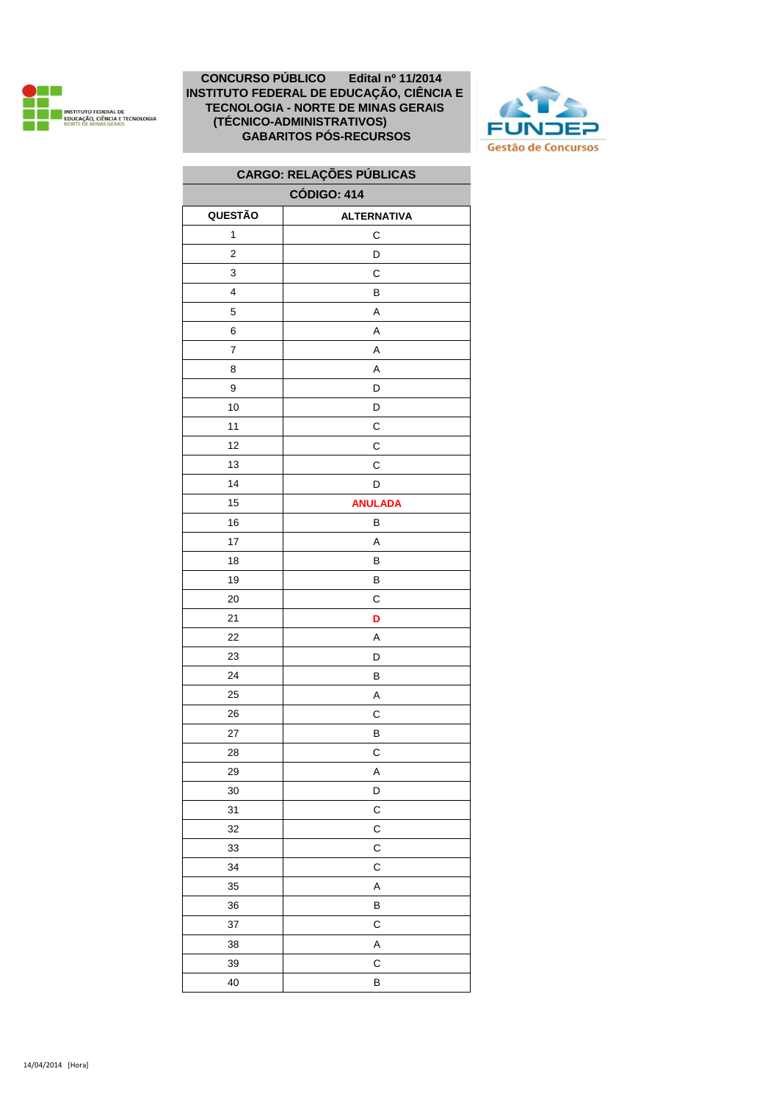



# **CARGO: RELAÇÕES PÚBLICAS**

| <b>CÓDIGO: 414</b> |                    |
|--------------------|--------------------|
| QUESTÃO            | <b>ALTERNATIVA</b> |
| $\mathbf{1}$       | C                  |
| $\overline{2}$     | D                  |
| 3                  | С                  |
| 4                  | В                  |
| 5                  | A                  |
| 6                  | A                  |
| 7                  | Α                  |
| 8                  | $\sf A$            |
| 9                  | D                  |
| $10$               | D                  |
| 11                 | C                  |
| 12                 | C                  |
| 13                 | С                  |
| 14                 | D                  |
| 15                 | <b>ANULADA</b>     |
| 16                 | В                  |
| 17                 | A                  |
| 18                 | В                  |
| 19                 | B                  |
| 20                 | C                  |
| 21                 | D                  |
| 22                 | Α                  |
| 23                 | D                  |
| 24                 | B                  |
| 25                 | A                  |
| 26                 | C                  |
| 27                 | В                  |
| 28                 | С                  |
| 29                 | Α                  |
| 30                 | D                  |
| 31                 | $\mathsf C$        |
| 32                 | C                  |
| 33                 | C                  |
| 34                 | C                  |
| $35\,$             | A                  |
| 36                 | В                  |
| 37                 | C                  |
| 38                 | A                  |
| 39                 | С                  |
| 40                 | B                  |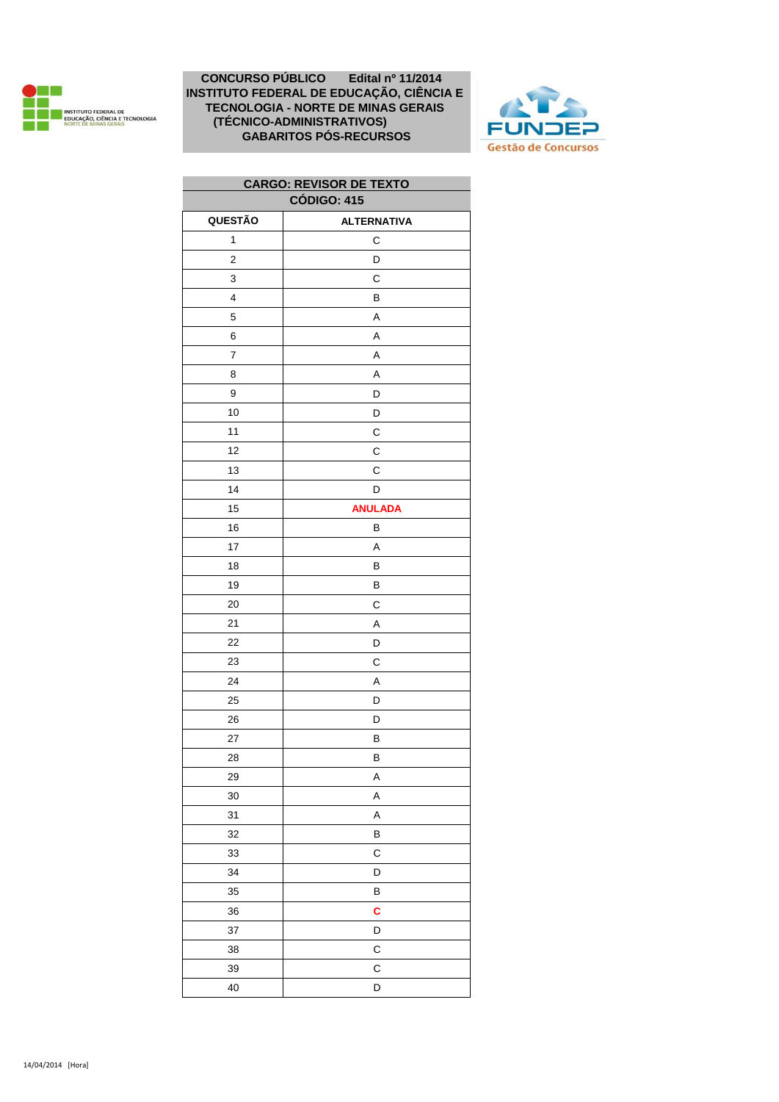



| <b>CARGO: REVISOR DE TEXTO</b> |                    |
|--------------------------------|--------------------|
| <b>CÓDIGO: 415</b>             |                    |
| QUESTÃO                        | <b>ALTERNATIVA</b> |
| 1                              | C                  |
| $\mathbf 2$                    | D                  |
| 3                              | C                  |
| 4                              | В                  |
| 5                              | Α                  |
| 6                              | Α                  |
| 7                              | A                  |
| 8                              | A                  |
| 9                              | D                  |
| 10                             | D                  |
| 11                             | С                  |
| 12                             | С                  |
| 13                             | C                  |
| 14                             | D                  |
| 15                             | <b>ANULADA</b>     |
| 16                             | В                  |
| 17                             | A                  |
| 18                             | В                  |
| 19                             | B                  |
| 20                             | С                  |
| 21                             | Α                  |
| 22                             | D                  |
| 23                             | С                  |
| 24                             | A                  |
| 25                             | D                  |
| 26                             | D                  |
| 27                             | B                  |
| 28                             | B                  |
| 29                             | A                  |
| 30                             | A                  |
| 31                             | Α                  |
| 32                             | В                  |
| 33                             | C                  |
| 34                             | D                  |
| 35                             | В                  |
| 36                             | C                  |
| 37                             | D                  |
| 38                             | С                  |
| 39                             | C                  |
| 40                             | D                  |